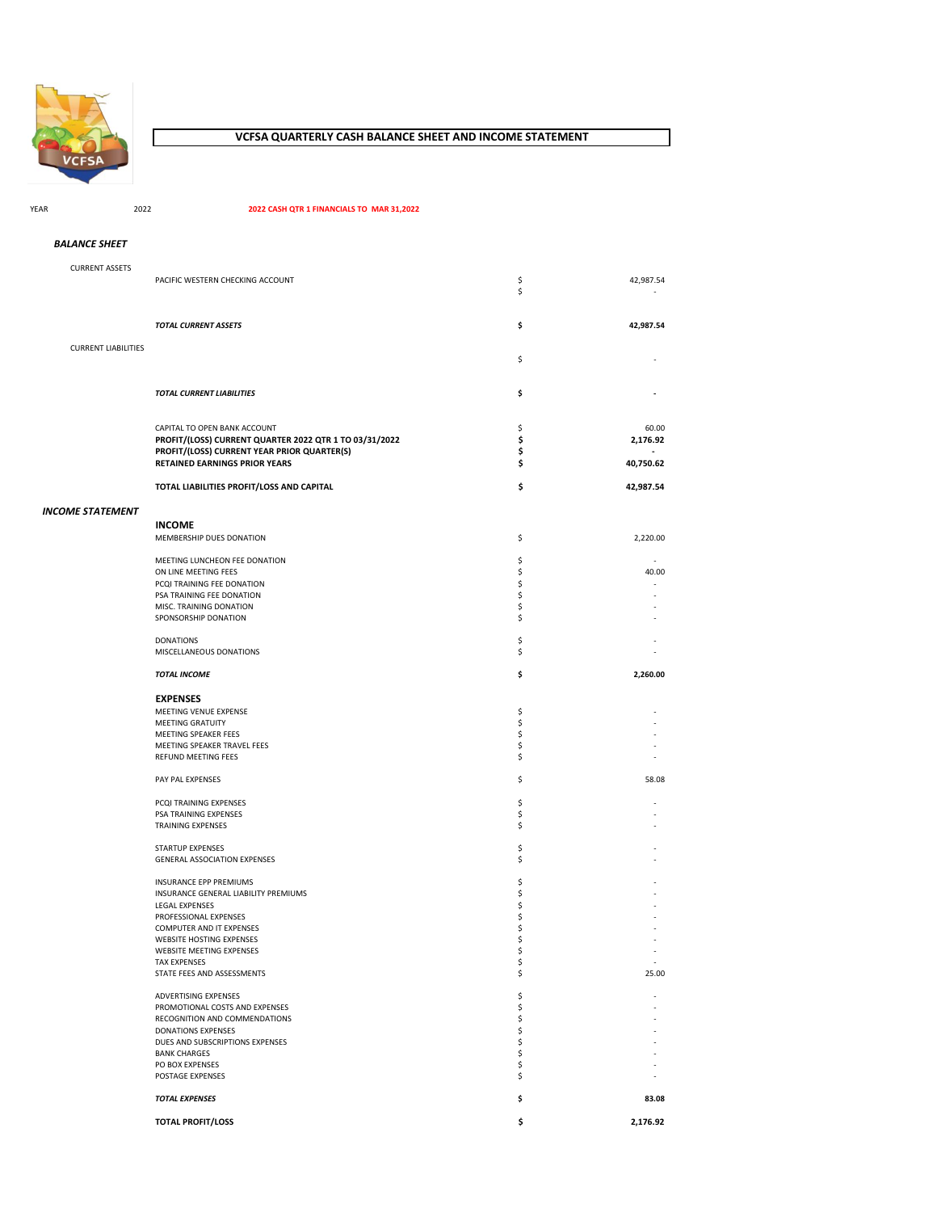

# **VCFSA QUARTERLY CASH BALANCE SHEET AND INCOME STATEMENT**

YEAR 2022 **2022 CASH QTR 1 FINANCIALS TO MAR 31,2022**

| <b>BALANCE SHEET</b> |  |
|----------------------|--|
|                      |  |

| <b>CURRENT ASSETS</b>      |                                                                                     |          |                                                      |
|----------------------------|-------------------------------------------------------------------------------------|----------|------------------------------------------------------|
|                            | PACIFIC WESTERN CHECKING ACCOUNT                                                    | \$       | 42,987.54                                            |
|                            |                                                                                     | \$       |                                                      |
|                            |                                                                                     |          |                                                      |
|                            | <b>TOTAL CURRENT ASSETS</b>                                                         | \$       | 42,987.54                                            |
|                            |                                                                                     |          |                                                      |
| <b>CURRENT LIABILITIES</b> |                                                                                     | \$       |                                                      |
|                            |                                                                                     |          |                                                      |
|                            |                                                                                     |          |                                                      |
|                            | TOTAL CURRENT LIABILITIES                                                           | \$       |                                                      |
|                            |                                                                                     |          |                                                      |
|                            | CAPITAL TO OPEN BANK ACCOUNT                                                        | \$       | 60.00                                                |
|                            | PROFIT/(LOSS) CURRENT QUARTER 2022 QTR 1 TO 03/31/2022                              | \$       | 2,176.92                                             |
|                            | PROFIT/(LOSS) CURRENT YEAR PRIOR QUARTER(S)<br><b>RETAINED EARNINGS PRIOR YEARS</b> | \$<br>\$ | 40,750.62                                            |
|                            |                                                                                     |          |                                                      |
|                            | TOTAL LIABILITIES PROFIT/LOSS AND CAPITAL                                           | \$       | 42,987.54                                            |
|                            |                                                                                     |          |                                                      |
| INCOME STATEMENT           |                                                                                     |          |                                                      |
|                            | <b>INCOME</b>                                                                       |          |                                                      |
|                            | MEMBERSHIP DUES DONATION                                                            | \$       | 2,220.00                                             |
|                            | MEETING LUNCHEON FEE DONATION                                                       | \$       |                                                      |
|                            | ON LINE MEETING FEES                                                                | \$       | 40.00                                                |
|                            | PCQI TRAINING FEE DONATION                                                          | \$       |                                                      |
|                            | PSA TRAINING FEE DONATION<br>MISC. TRAINING DONATION                                | \$<br>\$ |                                                      |
|                            | SPONSORSHIP DONATION                                                                | \$       |                                                      |
|                            |                                                                                     |          |                                                      |
|                            | <b>DONATIONS</b>                                                                    | \$       |                                                      |
|                            | MISCELLANEOUS DONATIONS                                                             | \$       |                                                      |
|                            | <b>TOTAL INCOME</b>                                                                 | \$       | 2,260.00                                             |
|                            |                                                                                     |          |                                                      |
|                            | <b>EXPENSES</b>                                                                     |          |                                                      |
|                            | MEETING VENUE EXPENSE<br><b>MEETING GRATUITY</b>                                    | \$<br>\$ |                                                      |
|                            | MEETING SPEAKER FEES                                                                | \$       |                                                      |
|                            | MEETING SPEAKER TRAVEL FEES                                                         | \$       |                                                      |
|                            | REFUND MEETING FEES                                                                 | \$       |                                                      |
|                            | PAY PAL EXPENSES                                                                    | \$       | 58.08                                                |
|                            |                                                                                     |          |                                                      |
|                            | PCQI TRAINING EXPENSES                                                              | \$       |                                                      |
|                            | PSA TRAINING EXPENSES                                                               | \$       |                                                      |
|                            | <b>TRAINING EXPENSES</b>                                                            | \$       |                                                      |
|                            | STARTUP EXPENSES                                                                    | \$       |                                                      |
|                            | <b>GENERAL ASSOCIATION EXPENSES</b>                                                 | \$       |                                                      |
|                            |                                                                                     |          |                                                      |
|                            | INSURANCE EPP PREMIUMS<br>INSURANCE GENERAL LIABILITY PREMIUMS                      | \$<br>\$ |                                                      |
|                            | <b>LEGAL EXPENSES</b>                                                               | \$       |                                                      |
|                            | PROFESSIONAL EXPENSES                                                               | \$       |                                                      |
|                            | COMPUTER AND IT EXPENSES                                                            | \$       |                                                      |
|                            | <b>WEBSITE HOSTING EXPENSES</b>                                                     | \$       |                                                      |
|                            | WEBSITE MEETING EXPENSES<br><b>TAX EXPENSES</b>                                     | \$<br>\$ | $\overline{\phantom{a}}$<br>$\overline{\phantom{a}}$ |
|                            | STATE FEES AND ASSESSMENTS                                                          | \$       | 25.00                                                |
|                            |                                                                                     |          |                                                      |
|                            | ADVERTISING EXPENSES                                                                | \$<br>\$ |                                                      |
|                            | PROMOTIONAL COSTS AND EXPENSES<br>RECOGNITION AND COMMENDATIONS                     | \$       |                                                      |
|                            | DONATIONS EXPENSES                                                                  | \$       |                                                      |
|                            | DUES AND SUBSCRIPTIONS EXPENSES                                                     | \$       |                                                      |
|                            | <b>BANK CHARGES</b>                                                                 | \$       |                                                      |
|                            | PO BOX EXPENSES<br>POSTAGE EXPENSES                                                 | \$<br>\$ |                                                      |
|                            |                                                                                     |          |                                                      |
|                            | <b>TOTAL EXPENSES</b>                                                               | \$       | 83.08                                                |
|                            | <b>TOTAL PROFIT/LOSS</b>                                                            | \$       | 2,176.92                                             |
|                            |                                                                                     |          |                                                      |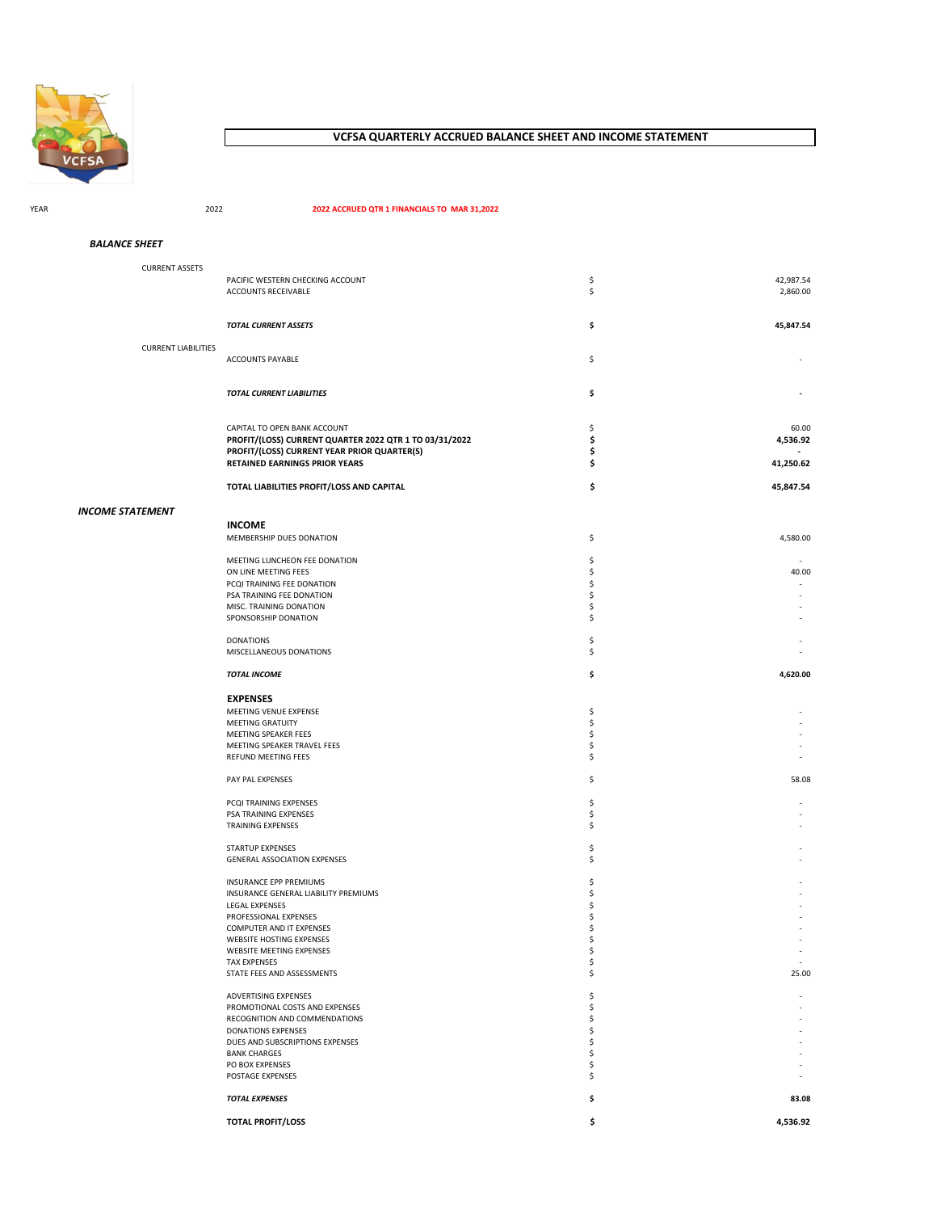

# **VCFSA QUARTERLY ACCRUED BALANCE SHEET AND INCOME STATEMENT**

### YEAR 2022 **2022 ACCRUED QTR 1 FINANCIALS TO MAR 31,2022**

| <b>CURRENT ASSETS</b>      |                                                        |    |           |
|----------------------------|--------------------------------------------------------|----|-----------|
|                            | PACIFIC WESTERN CHECKING ACCOUNT                       | \$ | 42,987.54 |
|                            | ACCOUNTS RECEIVABLE                                    | \$ | 2,860.00  |
|                            |                                                        |    |           |
|                            |                                                        |    |           |
|                            |                                                        |    | 45,847.54 |
|                            | TOTAL CURRENT ASSETS                                   | \$ |           |
|                            |                                                        |    |           |
| <b>CURRENT LIABILITIES</b> |                                                        |    |           |
|                            | ACCOUNTS PAYABLE                                       | \$ |           |
|                            |                                                        |    |           |
|                            |                                                        |    |           |
|                            | TOTAL CURRENT LIABILITIES                              | \$ |           |
|                            |                                                        |    |           |
|                            |                                                        |    |           |
|                            | CAPITAL TO OPEN BANK ACCOUNT                           | \$ | 60.00     |
|                            | PROFIT/(LOSS) CURRENT QUARTER 2022 QTR 1 TO 03/31/2022 | \$ | 4,536.92  |
|                            | PROFIT/(LOSS) CURRENT YEAR PRIOR QUARTER(S)            | \$ |           |
|                            | RETAINED EARNINGS PRIOR YEARS                          | \$ | 41,250.62 |
|                            |                                                        |    |           |
|                            |                                                        |    |           |
|                            | TOTAL LIABILITIES PROFIT/LOSS AND CAPITAL              | \$ | 45,847.54 |
|                            |                                                        |    |           |
| <b>INCOME STATEMENT</b>    |                                                        |    |           |
|                            | <b>INCOME</b>                                          |    |           |
|                            | MEMBERSHIP DUES DONATION                               |    | 4,580.00  |
|                            |                                                        | \$ |           |
|                            |                                                        |    |           |
|                            | MEETING LUNCHEON FEE DONATION                          | \$ |           |
|                            | ON LINE MEETING FEES                                   | \$ | 40.00     |
|                            | PCQI TRAINING FEE DONATION                             | \$ |           |
|                            | PSA TRAINING FEE DONATION                              | \$ |           |
|                            | MISC. TRAINING DONATION                                | \$ |           |
|                            | SPONSORSHIP DONATION                                   | \$ |           |
|                            |                                                        |    |           |
|                            | <b>DONATIONS</b>                                       | \$ |           |
|                            | MISCELLANEOUS DONATIONS                                | \$ |           |
|                            |                                                        |    |           |
|                            | <b>TOTAL INCOME</b>                                    | \$ | 4,620.00  |
|                            |                                                        |    |           |
|                            |                                                        |    |           |
|                            | <b>EXPENSES</b>                                        |    |           |
|                            | MEETING VENUE EXPENSE                                  | \$ |           |
|                            | <b>MEETING GRATUITY</b>                                | \$ |           |
|                            | MEETING SPEAKER FEES                                   | \$ |           |
|                            | MEETING SPEAKER TRAVEL FEES                            | \$ |           |
|                            | REFUND MEETING FEES                                    | \$ |           |
|                            |                                                        |    |           |
|                            | PAY PAL EXPENSES                                       | \$ | 58.08     |
|                            |                                                        |    |           |
|                            | PCQI TRAINING EXPENSES                                 | \$ |           |
|                            | PSA TRAINING EXPENSES                                  | \$ |           |
|                            | <b>TRAINING EXPENSES</b>                               |    |           |
|                            |                                                        | \$ |           |
|                            |                                                        |    |           |
|                            | <b>STARTUP EXPENSES</b>                                | \$ |           |
|                            | <b>GENERAL ASSOCIATION EXPENSES</b>                    | \$ |           |
|                            |                                                        |    |           |
|                            | <b>INSURANCE EPP PREMIUMS</b>                          | S  |           |
|                            | INSURANCE GENERAL LIABILITY PREMIUMS                   | Ś  |           |
|                            | LEGAL EXPENSES                                         | S  |           |
|                            | PROFESSIONAL EXPENSES                                  | Ś  |           |
|                            | COMPUTER AND IT EXPENSES                               |    |           |
|                            | WEBSITE HOSTING EXPENSES                               |    |           |
|                            | <b>WEBSITE MEETING EXPENSES</b>                        |    |           |
|                            | <b>TAX EXPENSES</b>                                    | \$ |           |
|                            | STATE FEES AND ASSESSMENTS                             | \$ | 25.00     |
|                            |                                                        |    |           |
|                            |                                                        |    |           |
|                            | ADVERTISING EXPENSES                                   | \$ |           |
|                            | PROMOTIONAL COSTS AND EXPENSES                         | \$ |           |
|                            | RECOGNITION AND COMMENDATIONS                          | \$ |           |
|                            | <b>DONATIONS EXPENSES</b>                              | \$ |           |
|                            | DUES AND SUBSCRIPTIONS EXPENSES                        | \$ |           |
|                            | <b>BANK CHARGES</b>                                    | \$ |           |
|                            | PO BOX EXPENSES                                        | \$ |           |
|                            | POSTAGE EXPENSES                                       | \$ |           |
|                            |                                                        |    |           |
|                            | <b>TOTAL EXPENSES</b>                                  | \$ | 83.08     |
|                            |                                                        |    |           |
|                            | <b>TOTAL PROFIT/LOSS</b>                               | \$ | 4,536.92  |
|                            |                                                        |    |           |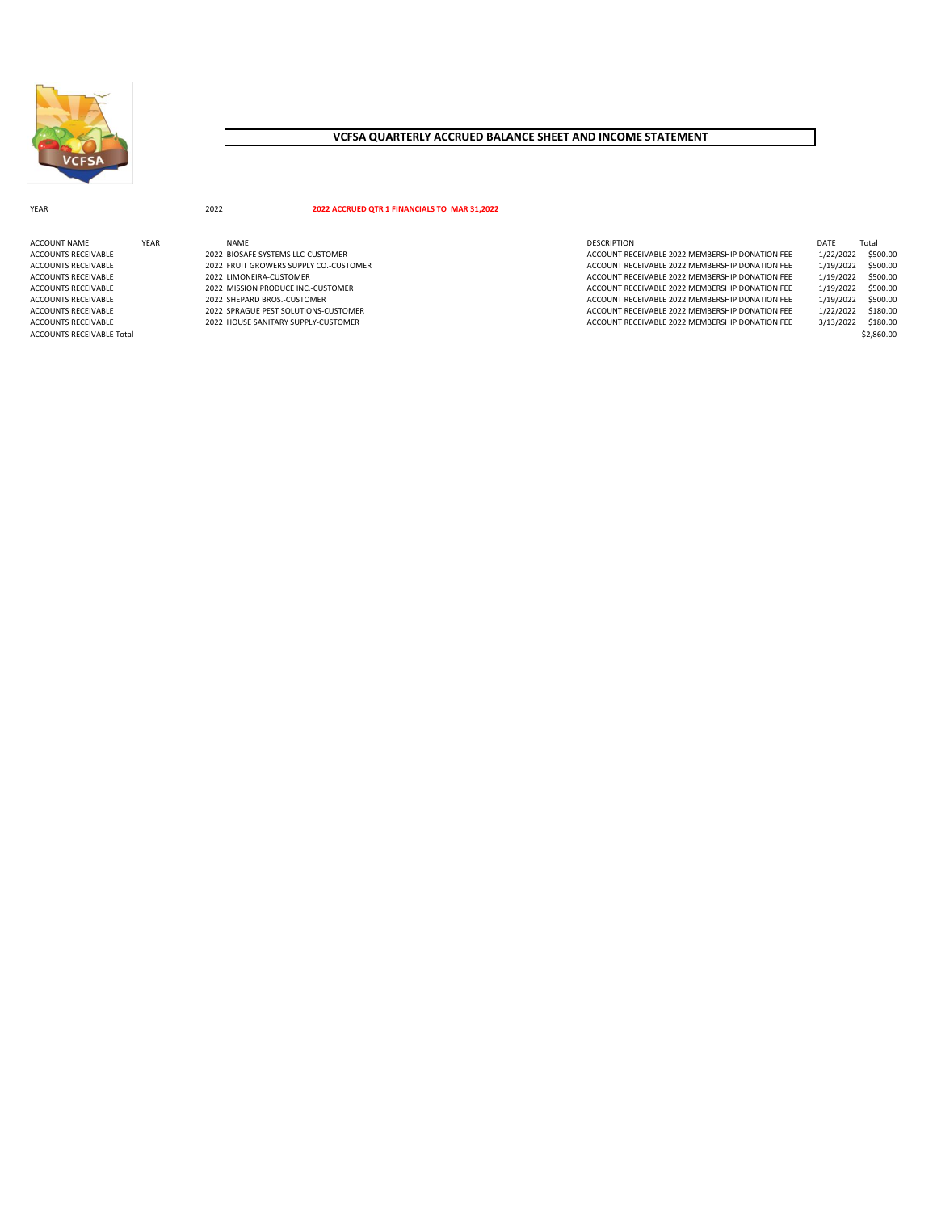

# **VCFSA QUARTERLY ACCRUED BALANCE SHEET AND INCOME STATEMENT**

### YEAR 2022 **2022 ACCRUED QTR 1 FINANCIALS TO MAR 31,2022**

| ACCOUNT NAME              | YEAR | <b>NAMF</b>                            | <b>DESCRIPTION</b>                              | DATF      | Total      |
|---------------------------|------|----------------------------------------|-------------------------------------------------|-----------|------------|
| ACCOUNTS RECEIVABLE       |      | 2022 BIOSAFE SYSTEMS LLC-CUSTOMER      | ACCOUNT RECEIVABLE 2022 MEMBERSHIP DONATION FEE | 1/22/2022 | \$500.00   |
| ACCOUNTS RECEIVABLE       |      | 2022 FRUIT GROWERS SUPPLY CO.-CUSTOMER | ACCOUNT RECEIVABLE 2022 MEMBERSHIP DONATION FEE | 1/19/2022 | \$500.00   |
| ACCOUNTS RECEIVABLE       |      | 2022 LIMONEIRA-CUSTOMER                | ACCOUNT RECEIVABLE 2022 MEMBERSHIP DONATION FEE | 1/19/2022 | \$500.00   |
| ACCOUNTS RECEIVABLE       |      | 2022 MISSION PRODUCE INC.-CUSTOMER     | ACCOUNT RECEIVABLE 2022 MEMBERSHIP DONATION FEE | 1/19/2022 | \$500.00   |
| ACCOUNTS RECEIVABLE       |      | 2022 SHEPARD BROS.-CUSTOMER            | ACCOUNT RECEIVABLE 2022 MEMBERSHIP DONATION FEE | 1/19/2022 | \$500.00   |
| ACCOUNTS RECEIVABLE       |      | 2022 SPRAGUE PEST SOLUTIONS-CUSTOMER   | ACCOUNT RECEIVABLE 2022 MEMBERSHIP DONATION FEE | 1/22/2022 | \$180.00   |
| ACCOUNTS RECEIVABLE       |      | 2022 HOUSE SANITARY SUPPLY-CUSTOMER    | ACCOUNT RECEIVABLE 2022 MEMBERSHIP DONATION FEE | 3/13/2022 | \$180.00   |
| ACCOUNTS RECEIVABLE Total |      |                                        |                                                 |           | \$2,860.00 |

| CRIPTION                                     | DATF      | Total    |
|----------------------------------------------|-----------|----------|
| OUNT RECEIVABLE 2022 MEMBERSHIP DONATION FEE | 1/22/2022 | \$500.00 |
| OUNT RECEIVABLE 2022 MEMBERSHIP DONATION FEE | 1/19/2022 | \$500.00 |
| OUNT RECEIVABLE 2022 MEMBERSHIP DONATION FEE | 1/19/2022 | \$500.00 |
| OUNT RECEIVABLE 2022 MEMBERSHIP DONATION FEE | 1/19/2022 | \$500.00 |
| OUNT RECEIVABLE 2022 MEMBERSHIP DONATION FEE | 1/19/2022 | \$500.00 |
| OUNT RECEIVABLE 2022 MEMBERSHIP DONATION FEE | 1/22/2022 | \$180.00 |
| OUNT RECEIVABLE 2022 MEMBERSHIP DONATION FEE | 3/13/2022 | \$180.00 |
|                                              |           | 10.00000 |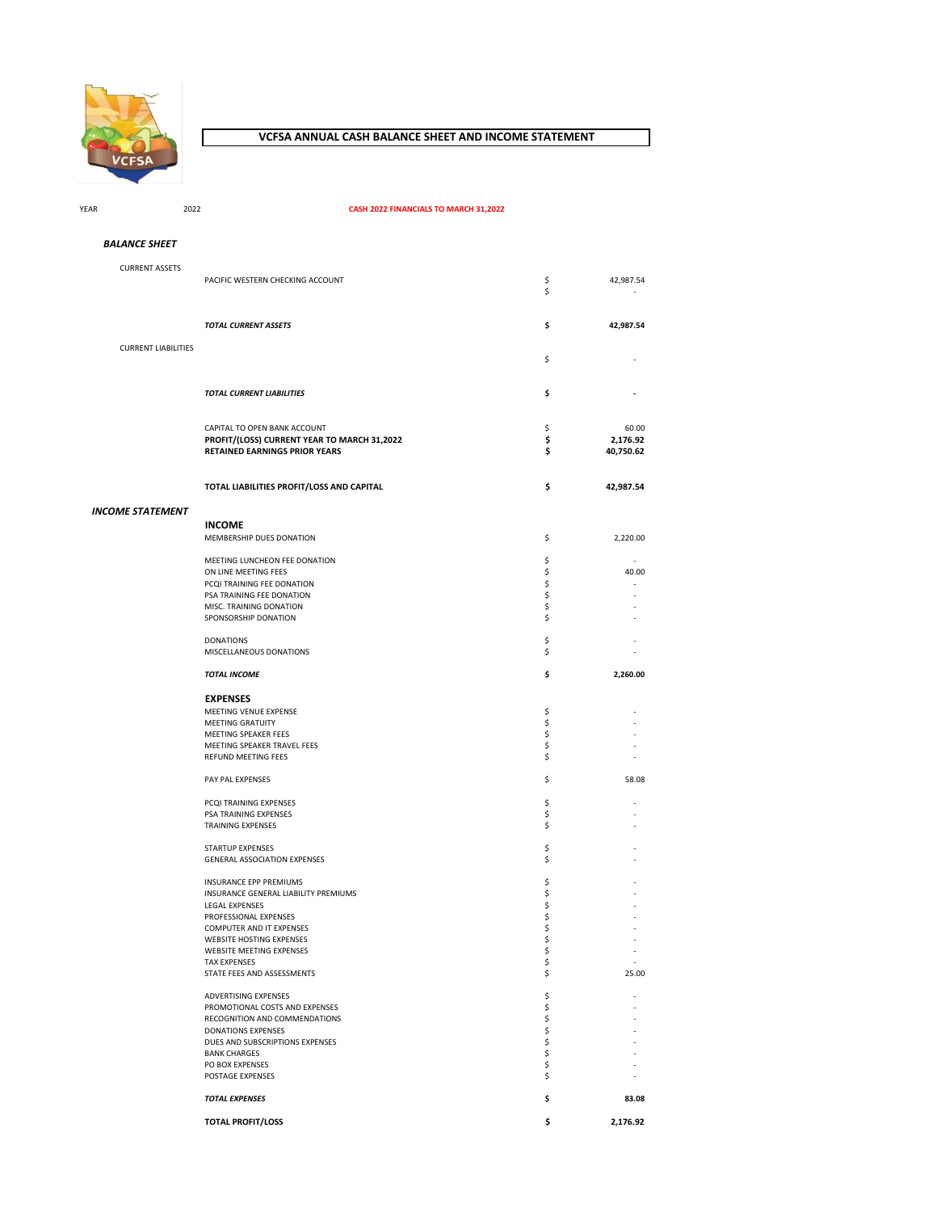

YEAR 2022

#### **VCFSA ANNUAL CASH BALANCE SHEET AND INCOME STATEMENT**

**CASH 2022 FINANCIALS TO MARCH 31,2022**

CURRENT ASSETS PACIFIC WESTERN CHECKING ACCOUNT  $\begin{array}{ccc} 5 & 42,987.54 \\ 5 & 5 \end{array}$  $\mathsf{\$}$  -*TOTAL CURRENT ASSETS* **\$ 42,987.54** CURRENT LIABILITIES  $\mathsf{\$}$  -*TOTAL CURRENT LIABILITIES* **\$ -** CAPITAL TO OPEN BANK ACCOUNT<br> **PROFIT/(LOSS) CURRENT YEAR TO MARCH 31,2022**<br>
\$
2,176.92 **PROFIT/(LOSS) CURRENT YEAR TO MARCH 31,2022 \$ 2,176.92 RETAINED EARNINGS PRIOR YEARS TOTAL LIABILITIES PROFIT/LOSS AND CAPITAL \$ 42,987.54 INCOME** MEMBERSHIP DUES DONATION \$ 2,220.00 MEETING LUNCHEON FEE DONATION \$ - ON LINE MEETING FEES \$<br>
PCQI TRAINING FEE DONATION \$ PCQI TRAINING FEE DONATION **\$** 5 - THE SECOND FEE DONATION **\$** PSA TRAINING FEE DONATION 6 5 MISC. TRAINING DONATION<br>
SPONSORSHIP DONATION<br>
SPONSORSHIP DONATION SPONSORSHIP DONATION DONATIONS \$ - MISCELLANEOUS DONATIONS **FOUR EXECUTE ASSESSED ASSESSED.** *TOTAL INCOME* **\$ 2,260.00 EXPENSES** MEETING VENUE EXPENSE \$ - MEETING GRATUITY \$ - MEETING SPEAKER FEES \$ - MEETING SPEAKER TRAVEL FEES \$ - REFUND MEETING FEES AND A SECOND ASSAULT AND A SECOND ASSAULT AND A SECOND ASSAULT AND A SECOND ASSAULT AND A S PAY PAL EXPENSES 58.08 PCQI TRAINING EXPENSES \$ *BALANCE SHEET INCOME STATEMENT*

PSA TRAINING EXPENSES AND RESIDENCE OF A SERVICE OF A SERVICE OF A SERVICE OF A SERVICE OF A SERVICE OF A SERVICE OF A SERVICE OF A SERVICE OF A SERVICE OF A SERVICE OF A SERVICE OF A SERVICE OF A SERVICE OF A SERVICE OF A TRAINING EXPENSES **FRAINING** EXPENSES  ${\small \begin{array}{l} \text{STARTUP EXPENSES} \\ \text{GENERAL ASSOCIATION EXPENSES} \end{array}}$ GENERAL ASSOCIATION EXPENSES INSURANCE EPP PREMIUMS \$ - INSURANCE GENERAL LIABILITY PREMIUMS **FOR A SECULAR CONSUMER SUBSEX ASSESSED A**<br>INSURANCE GENERAL LIABILITY PREMIUMS **FOR A SECULAR CONSUMER SUBSEX SUBSEX SUBSEX SUBSEX SUBSEX SUBSEX SUBSEX SUBSEX SUBSEX SUBSEX SUBSEX SUBS** LEGAL EXPENSES \$ - PROFESSIONAL EXPENSES \$ - COMPUTER AND IT EXPENSES<br>
WEBSITE HOSTING EXPENSES<br>
-WEBSITE HOSTING EXPENSES WEBSITE MEETING EXPENSES<br>WEBSITE MEETING EXPENSES 5 TAX EXPENSES \$ - STATE FEES AND ASSESSMENTS ADVERTISING EXPENSES SALL SERVICES SERVICES AND SERVICES SERVICES SERVICES AND SERVICES SERVICES SERVICES SERVICES SERVICES SERVICES SERVICES SERVICES SERVICES SERVICES SERVICES SERVICES SERVICES SERVICES SERVICES SERVICES PROMOTIONAL COSTS AND EXPENSES  $\zeta$  -RECOGNITION AND COMMENDATIONS  $\begin{array}{ccc}\n\bullet & \bullet & \bullet \\
\bullet & \bullet & \bullet & \bullet\n\end{array}$ DONATIONS EXPENSES<br>DUES AND SUBSCRIPTIONS EXPENSES \$ DUES AND SUBSCRIPTIONS EXPENSES \$ - BANK CHARGES \$ - PO BOX EXPENSES  $\overline{S}$  -  $\overline{S}$  -  $\overline{S}$  -  $\overline{S}$  -  $\overline{S}$  -  $\overline{S}$  -  $\overline{S}$  -  $\overline{S}$  -  $\overline{S}$  -  $\overline{S}$  -  $\overline{S}$  -  $\overline{S}$  -  $\overline{S}$  -  $\overline{S}$  -  $\overline{S}$  -  $\overline{S}$  -  $\overline{S}$  -  $\overline{S}$  -  $\overline{S}$ POSTAGE EXPENSES *TOTAL EXPENSES* **\$ 83.08**

**TOTAL PROFIT/LOSS \$ 2,176.92**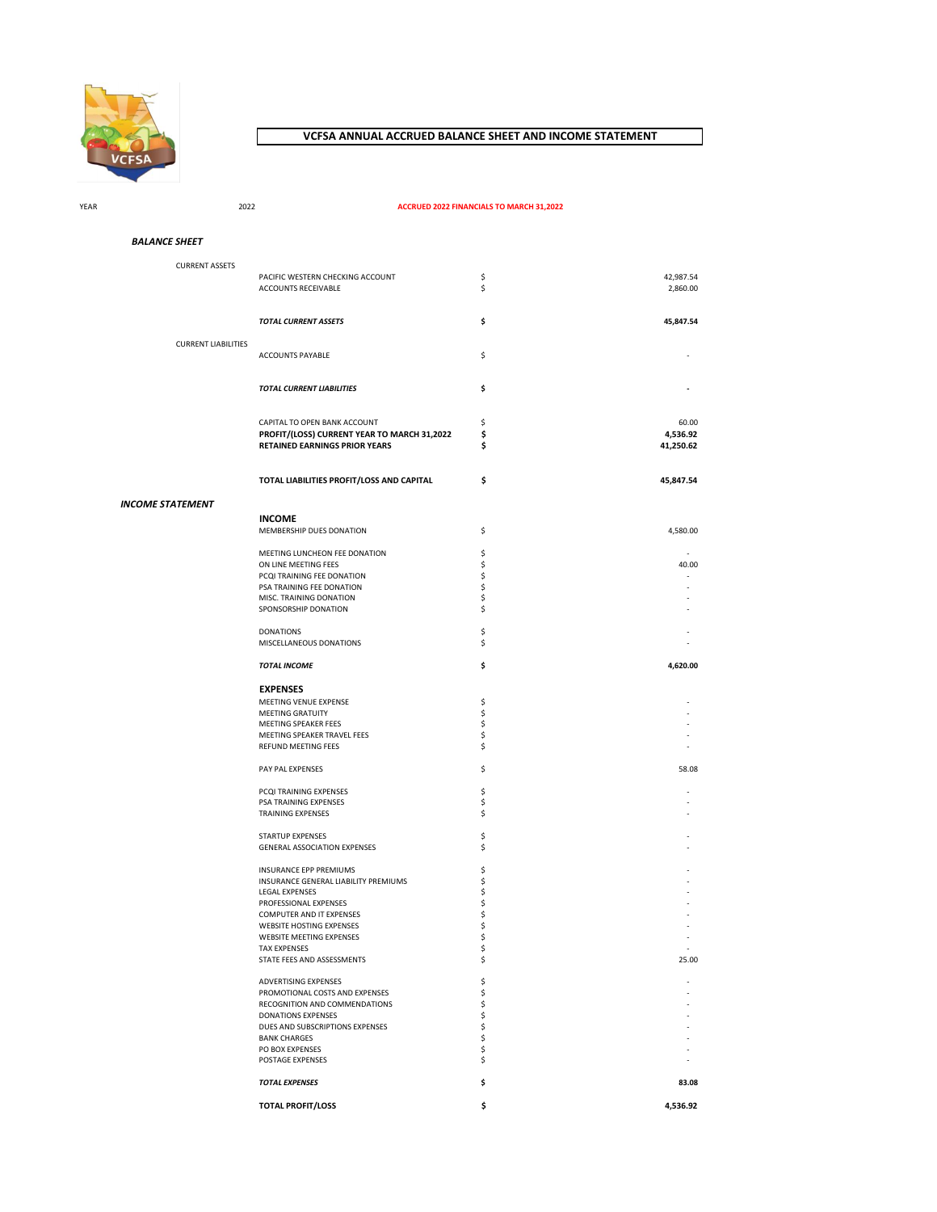

## **VCFSA ANNUAL ACCRUED BALANCE SHEET AND INCOME STATEMENT**

YEAR 2022

#### **ACCRUED 2022 FINANCIALS TO MARCH 31,2022**

*BALANCE SHEET*

CURRENT ASSETS PACIFIC WESTERN CHECKING ACCOUNT  $\begin{array}{ccc}\n & \text{S} & \text{S} \\
\text{ACCOUNTS RECEIVABLE} & & \text{S}\n\end{array}$ ACCOUNTS RECEIVABLE *TOTAL CURRENT ASSETS* **\$ 45,847.54** CURRENT LIABILITIES ACCOUNTS PAYABLE  $\zeta$ *TOTAL CURRENT LIABILITIES* **\$ -** CAPITAL TO OPEN BANK ACCOUNT 60.00 **PROFIT/(LOSS) CURRENT YEAR TO MARCH 31,2022 \$ 4,536.92 RETAINED EARNINGS PRIOR YEARS \$ TOTAL LIABILITIES PROFIT/LOSS AND CAPITAL \$ 45,847.54 INCOME** MEMBERSHIP DUES DONATION  $\zeta$ MEETING LUNCHEON FEE DONATION \$ - ON LINE MEETING FFES PCQI TRAINING FEE DONATION \$ - PSA TRAINING FEE DONATION **\$** 5 MISC. TRAINING DONATION  $S$ <br>sponsorship donation  $S$ SPONSORSHIP DONATION  $\zeta$  $\mathsf S$  -DONATIONS  $\mathsf S$ MISCELLANEOUS DONATIONS  $\zeta$ *TOTAL INCOME* **\$ 4,620.00 EXPENSES** MEETING VENUE EXPENSE A SANTO THE SERVER SERVER AND SANTO THE SANTO THE SANTO THE SANTO THE SANTO THE SANTO THE SANTO THE SANTO THE SANTO THE SANTO THE SANTO THE SANTO THE SANTO THE SANTO THE SANTO THE SANTO THE SANTO THE MEETING GRATUITY \$ - MEETING SPEAKER FEES \$ - MEETING SPEAKER TRAVEL FEES \$ - REFUND MEETING FEES PAY PAL EXPENSES 58.08 PCQI TRAINING EXPENSES \$ PSA TRAINING EXPENSES And the set of the set of the set of the set of the set of the set of the set of the set of the set of the set of the set of the set of the set of the set of the set of the set of the set of the set o TRAINING EXPENSES **FRAINING** EXPENSES STARTUP EXPENSES \$ - GENERAL ASSOCIATION EXPENSES  $\zeta$ INSURANCE EPP PREMIUMS \$ - INSURANCE GENERAL LIABILITY PREMIUMS  $\begin{array}{ccc} & \zeta & \zeta \\ \zeta & \zeta & \zeta & \zeta \end{array}$  - LEGAL EXPENSES LEGAL EXPENSES PROFESSIONAL EXPENSES \$ - COMPUTER AND IT EXPENSES \$ - WEBSITE HOSTING EXPENSES<br>
WEBSITE HOSTING EXPENSES<br>
WEBSITE MEETING EXPENSES<br>  $\hat{S}$ WEBSITE MEETING EXPENSES  $\zeta$ <br>
TAX EXPENSES  $\zeta$ TAX EXPENSES STATE FEES AND ASSESSMENTS **5** 25.00 ADVERTISING EXPENSES<br>PROMOTIONAL COSTS AND EXPENSES \$ PROMOTIONAL COSTS AND EXPENSES  $\zeta$ RECOGNITION AND COMMENDATIONS  $\begin{array}{ccc} \text{S} & \text{S} \ \text{DONATION } \text{S} \end{array}$ DONATIONS EXPENSES \$ - DUES AND SUBSCRIPTIONS EXPENSES \$ - BANK CHARGES<br>
PO BOX EXPENSES<br>
POSTAGE EXPENSES<br>
POSTAGE EXPENSES<br>
-PO BOX EXPENSES POSTAGE EXPENSES *TOTAL EXPENSES* **\$ 83.08 TOTAL PROFIT/LOSS \$ 4,536.92** *INCOME STATEMENT*